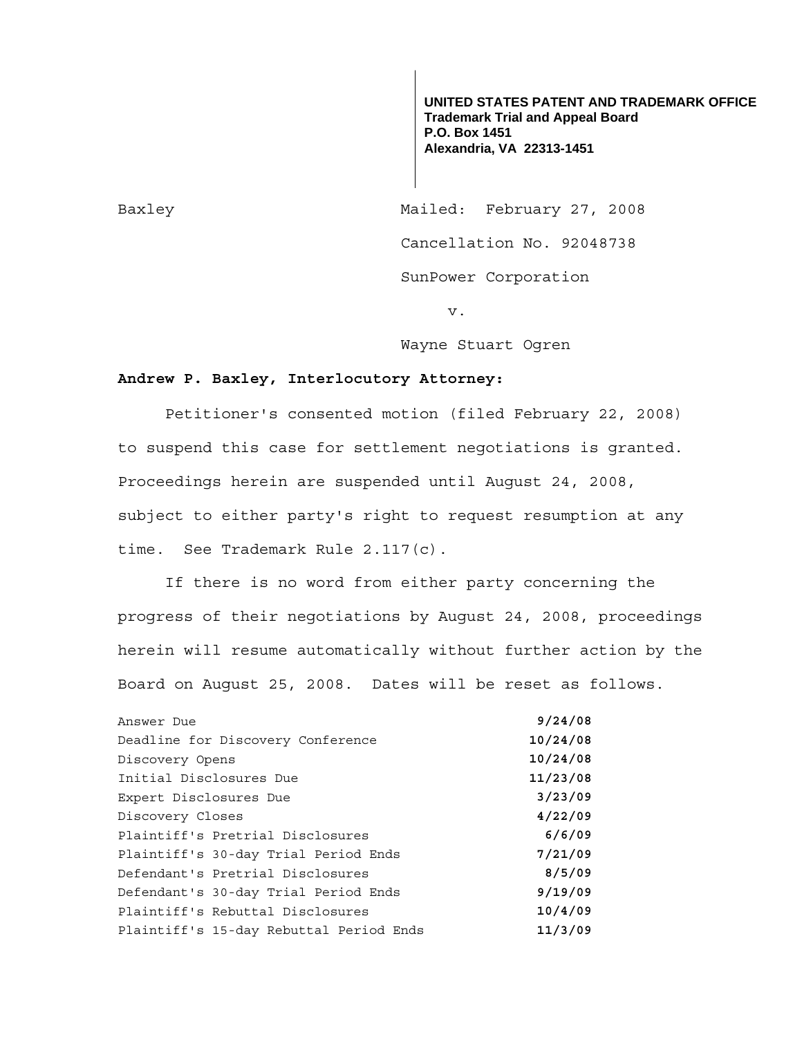**UNITED STATES PATENT AND TRADEMARK OFFICE Trademark Trial and Appeal Board P.O. Box 1451 Alexandria, VA 22313-1451**

Baxley Mailed: February 27, 2008 Cancellation No. 92048738 SunPower Corporation

v.

Wayne Stuart Ogren

## **Andrew P. Baxley, Interlocutory Attorney:**

 Petitioner's consented motion (filed February 22, 2008) to suspend this case for settlement negotiations is granted. Proceedings herein are suspended until August 24, 2008, subject to either party's right to request resumption at any time. See Trademark Rule 2.117(c).

 If there is no word from either party concerning the progress of their negotiations by August 24, 2008, proceedings herein will resume automatically without further action by the Board on August 25, 2008. Dates will be reset as follows.

| Answer Due                              | 9/24/08  |
|-----------------------------------------|----------|
| Deadline for Discovery Conference       | 10/24/08 |
| Discovery Opens                         | 10/24/08 |
| Initial Disclosures Due                 | 11/23/08 |
| Expert Disclosures Due                  | 3/23/09  |
| Discovery Closes                        | 4/22/09  |
| Plaintiff's Pretrial Disclosures        | 6/6/09   |
| Plaintiff's 30-day Trial Period Ends    | 7/21/09  |
| Defendant's Pretrial Disclosures        | 8/5/09   |
| Defendant's 30-day Trial Period Ends    | 9/19/09  |
| Plaintiff's Rebuttal Disclosures        | 10/4/09  |
| Plaintiff's 15-day Rebuttal Period Ends | 11/3/09  |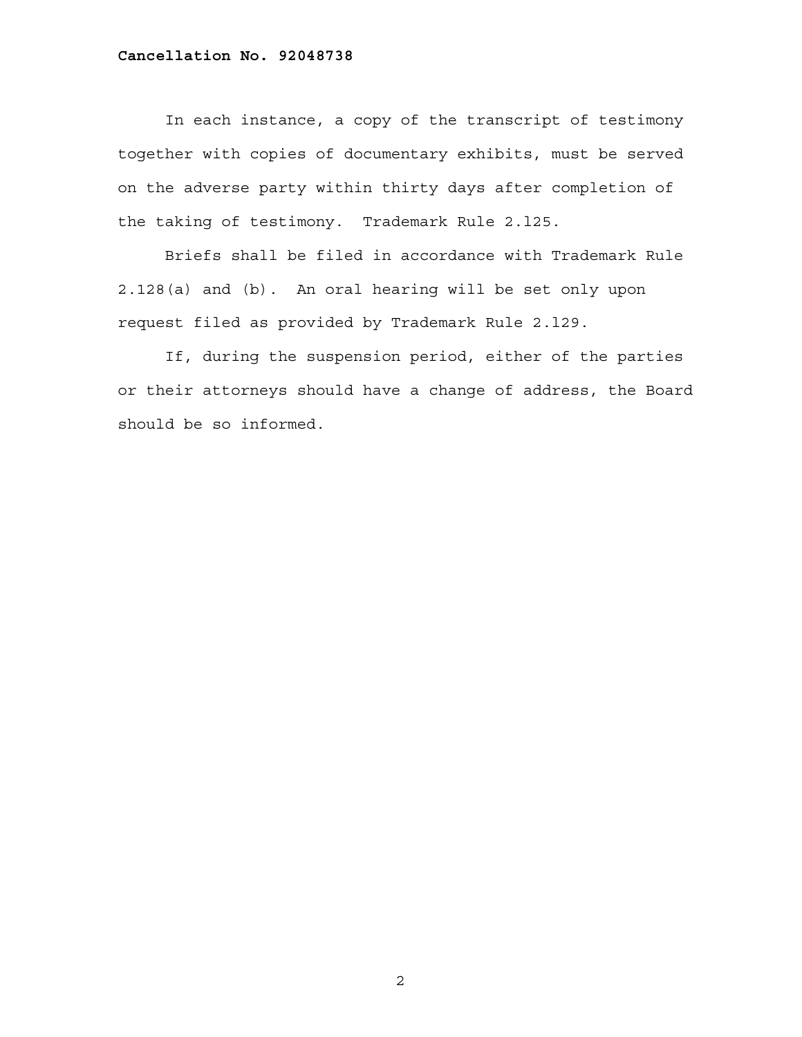## **Cancellation No. 92048738**

 In each instance, a copy of the transcript of testimony together with copies of documentary exhibits, must be served on the adverse party within thirty days after completion of the taking of testimony. Trademark Rule 2.l25.

 Briefs shall be filed in accordance with Trademark Rule 2.128(a) and (b). An oral hearing will be set only upon request filed as provided by Trademark Rule 2.l29.

 If, during the suspension period, either of the parties or their attorneys should have a change of address, the Board should be so informed.

2